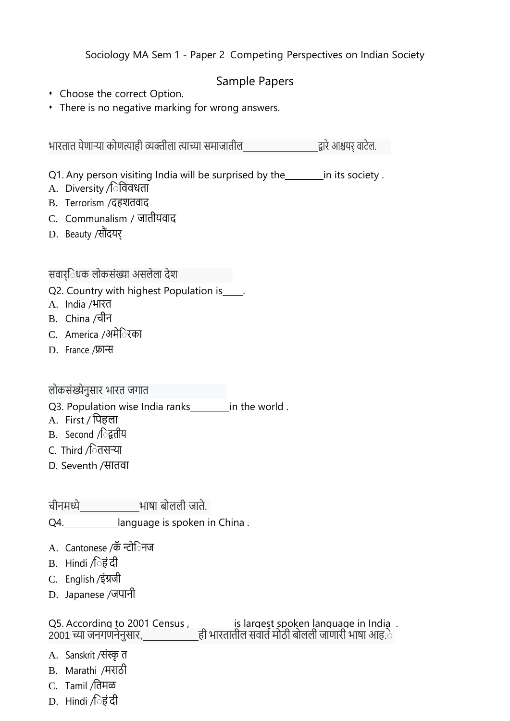Sociology MA Sem 1 - Paper 2 Competing Perspectives on Indian Society

## Sample Papers

- Choose the correct Option.
- There is no negative marking for wrong answers.

भारतात येणार्या कोणत्याही व्यक्तीला त्याच्या समाजातील द्वारेआश्चयर् वाटेल.

Q1. Any person visiting India will be surprised by the in its society.

- A. Diversity /िविवधता
- B. Terrorism /दहशतवाद
- C. Communalism / जातीयवाद
- D. Beauty /सौंदयर्

सवार्ि धक लोकसंख्या असलेला देश

- Q2. Country with highest Population is\_\_\_\_.
- े A. India /भारत
- B. China /चीन
- C. America /अमेि रका
- D. France /फ्रान्स

## लोकसंख्येनुसार भारत जगात

- Q3. Population wise India ranks in the world.
- A. First / पिहला
- B. Second */*िद्वतीय
- C. Third */*ितसऱ्या
- D. Seventh /सातवा

चीनमध्ये भाषा बोलली जाते.

Q4. language is spoken in China.

- A. Cantonese /कॅन्टो**िनज**
- B. Hindi  $\int \hat{\sigma} \vec{\epsilon} \, d\vec{\epsilon}$
- C. English /इंग्रजी
- D. Japanese /जपानी

Q5. According to 2001 Census , is largest spoken language in India . 2001 च्या जनगणनेनुसार<u>, ही</u> भारतातील सवाते मोठी बोलली जाणारी भाषा आह.े

- A. Sanskrit /संस्कृ त
- B. Marathi /मराठी
- C. Tamil /ितमळ
- $D.$  Hindi /िहंदी